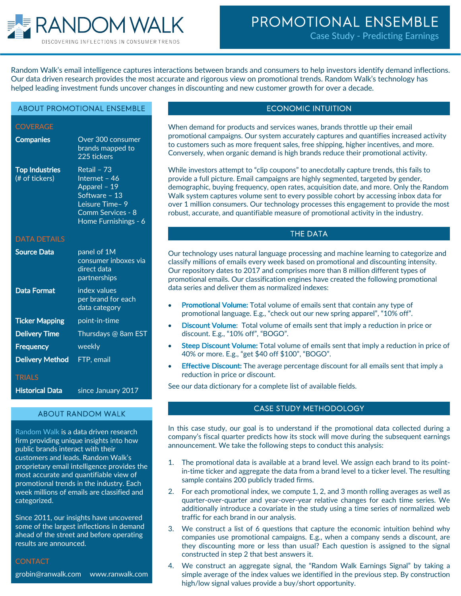

# PROMOTIONAL ENSEMBLE

Case Study - Predicting Earnings

Random Walk's email intelligence captures interactions between brands and consumers to help investors identify demand inflections. Our data driven research provides the most accurate and rigorous view on promotional trends. Random Walk's technology has helped leading investment funds uncover changes in discounting and new customer growth for over a decade.

#### ABOUT PROMOTIONAL ENSEMBLE

**COVERAGE** 

| <b>Companies</b>                        | Over 300 consumer<br>brands mapped to<br>225 tickers                                                                          |
|-----------------------------------------|-------------------------------------------------------------------------------------------------------------------------------|
| <b>Top Industries</b><br>(# of tickers) | Retail - 73<br>Internet - 46<br>Apparel - 19<br>Software - 13<br>Leisure Time- 9<br>Comm Services - 8<br>Home Furnishings - 6 |
| <b>DATA DETAILS</b>                     |                                                                                                                               |
| <b>Source Data</b>                      | panel of 1M<br>consumer inboxes via<br>direct data<br>partnerships                                                            |
| <b>Data Format</b>                      | index values<br>per brand for each<br>data category                                                                           |
| <b>Ticker Mapping</b>                   | point-in-time                                                                                                                 |
| <b>Delivery Time</b>                    | Thursdays @ 8am EST                                                                                                           |
| <b>Frequency</b>                        | weekly                                                                                                                        |
| <b>Delivery Method</b>                  | FTP, email                                                                                                                    |
| <b>TRIALS</b>                           |                                                                                                                               |
| <b>Historical Data</b>                  | since January 2017                                                                                                            |

#### ABOUT RANDOM WALK

Random Walk is a data driven research firm providing unique insights into how public brands interact with their customers and leads. Random Walk's proprietary email intelligence provides the most accurate and quantifiable view of promotional trends in the industry. Each week millions of emails are classified and categorized.

Since 2011, our insights have uncovered some of the largest inflections in demand ahead of the street and before operating results are announced.

#### **CONTACT**

grobin@ranwalk.com www.ranwalk.com

# ECONOMIC INTUITION

When demand for products and services wanes, brands throttle up their email promotional campaigns. Our system accurately captures and quantifies increased activity to customers such as more frequent sales, free shipping, higher incentives, and more. Conversely, when organic demand is high brands reduce their promotional activity.

While investors attempt to "clip coupons" to anecdotally capture trends, this fails to provide a full picture. Email campaigns are highly segmented, targeted by gender, demographic, buying frequency, open rates, acquisition date, and more. Only the Random Walk system captures volume sent to every possible cohort by accessing inbox data for over 1 million consumers. Our technology processes this engagement to provide the most robust, accurate, and quantifiable measure of promotional activity in the industry.

## THE DATA

Our technology uses natural language processing and machine learning to categorize and classify millions of emails every week based on promotional and discounting intensity. Our repository dates to 2017 and comprises more than 8 million different types of promotional emails. Our classification engines have created the following promotional data series and deliver them as normalized indexes:

- **Promotional Volume:** Total volume of emails sent that contain any type of promotional language. E.g., "check out our new spring apparel", "10% off".
- **Discount Volume:** Total volume of emails sent that imply a reduction in price or discount. E.g., "10% off", "BOGO".
- **Steep Discount Volume:** Total volume of emails sent that imply a reduction in price of 40% or more. E.g., "get \$40 off \$100", "BOGO".
- **Effective Discount:** The average percentage discount for all emails sent that imply a reduction in price or discount.

See our data dictionary for a complete list of available fields.

## CASE STUDY METHODOLOGY

In this case study, our goal is to understand if the promotional data collected during a company's fiscal quarter predicts how its stock will move during the subsequent earnings announcement. We take the following steps to conduct this analysis:

- 1. The promotional data is available at a brand level. We assign each brand to its pointin-time ticker and aggregate the data from a brand level to a ticker level. The resulting sample contains 200 publicly traded firms.
- 2. For each promotional index, we compute 1, 2, and 3 month rolling averages as well as quarter-over-quarter and year-over-year relative changes for each time series. We additionally introduce a covariate in the study using a time series of normalized web traffic for each brand in our analysis.
- 3. We construct a list of 6 questions that capture the economic intuition behind why companies use promotional campaigns. E.g., when a company sends a discount, are they discounting more or less than usual? Each question is assigned to the signal constructed in step 2 that best answers it.
- 4. We construct an aggregate signal, the "Random Walk Earnings Signal" by taking a simple average of the index values we identified in the previous step. By construction high/low signal values provide a buy/short opportunity.